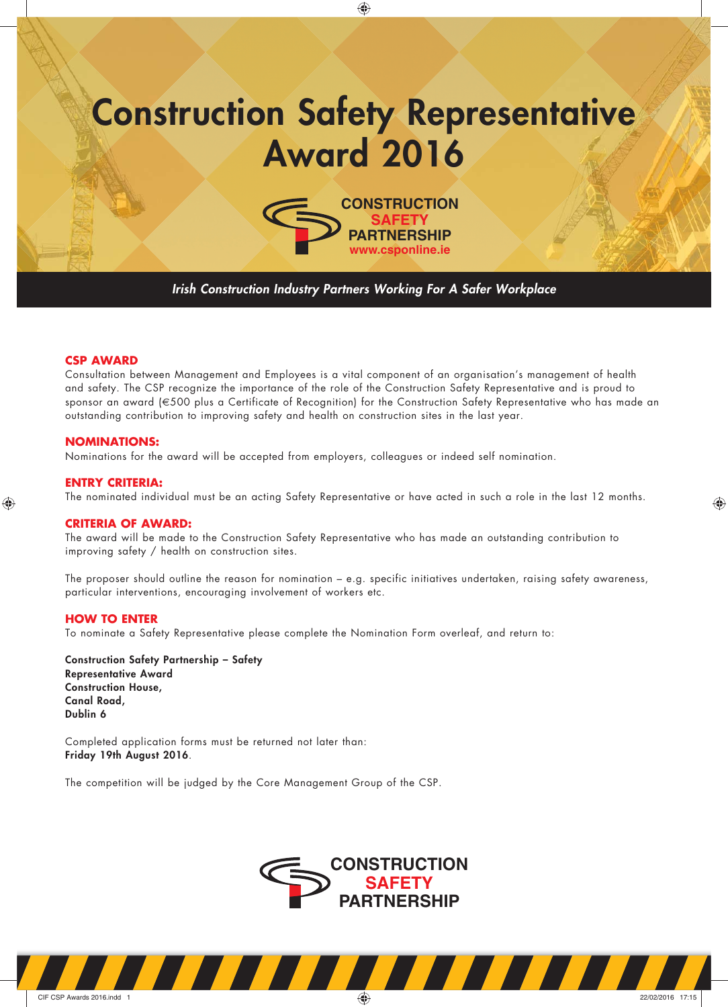# **Construction Safety Representative Award 2016**

◈



*Irish Construction Industry Partners Working For A Safer Workplace*

### **CSP AWARD**

Consultation between Management and Employees is a vital component of an organisation's management of health and safety. The CSP recognize the importance of the role of the Construction Safety Representative and is proud to sponsor an award (€500 plus a Certificate of Recognition) for the Construction Safety Representative who has made an outstanding contribution to improving safety and health on construction sites in the last year.

#### **NOMINATIONS:**

Nominations for the award will be accepted from employers, colleagues or indeed self nomination.

#### **ENTRY CRITERIA:**

◈

The nominated individual must be an acting Safety Representative or have acted in such a role in the last 12 months.

◈

#### **CRITERIA OF AWARD:**

The award will be made to the Construction Safety Representative who has made an outstanding contribution to improving safety / health on construction sites.

The proposer should outline the reason for nomination – e.g. specific initiatives undertaken, raising safety awareness, particular interventions, encouraging involvement of workers etc.

#### **HOW TO ENTER**

To nominate a Safety Representative please complete the Nomination Form overleaf, and return to:

**Construction Safety Partnership – Safety Representative Award Construction House, Canal Road, Dublin 6**

Completed application forms must be returned not later than: **Friday 19th August 2016**.

The competition will be judged by the Core Management Group of the CSP.